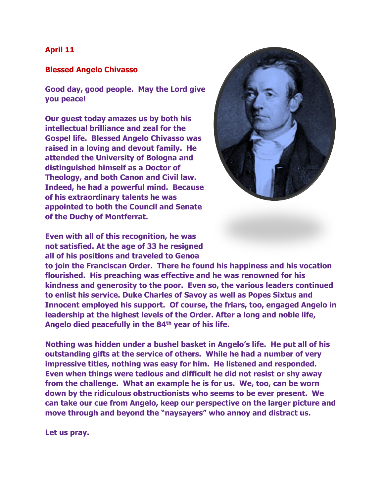## **April 11**

## **Blessed Angelo Chivasso**

**Good day, good people. May the Lord give you peace!**

**Our guest today amazes us by both his intellectual brilliance and zeal for the Gospel life. Blessed Angelo Chivasso was raised in a loving and devout family. He attended the University of Bologna and distinguished himself as a Doctor of Theology, and both Canon and Civil law. Indeed, he had a powerful mind. Because of his extraordinary talents he was appointed to both the Council and Senate of the Duchy of Montferrat.** 



**Even with all of this recognition, he was not satisfied. At the age of 33 he resigned all of his positions and traveled to Genoa** 

**to join the Franciscan Order. There he found his happiness and his vocation flourished. His preaching was effective and he was renowned for his kindness and generosity to the poor. Even so, the various leaders continued to enlist his service. Duke Charles of Savoy as well as Popes Sixtus and Innocent employed his support. Of course, the friars, too, engaged Angelo in leadership at the highest levels of the Order. After a long and noble life, Angelo died peacefully in the 84th year of his life.**

**Nothing was hidden under a bushel basket in Angelo's life. He put all of his outstanding gifts at the service of others. While he had a number of very impressive titles, nothing was easy for him. He listened and responded. Even when things were tedious and difficult he did not resist or shy away from the challenge. What an example he is for us. We, too, can be worn down by the ridiculous obstructionists who seems to be ever present. We can take our cue from Angelo, keep our perspective on the larger picture and move through and beyond the "naysayers" who annoy and distract us.** 

**Let us pray.**